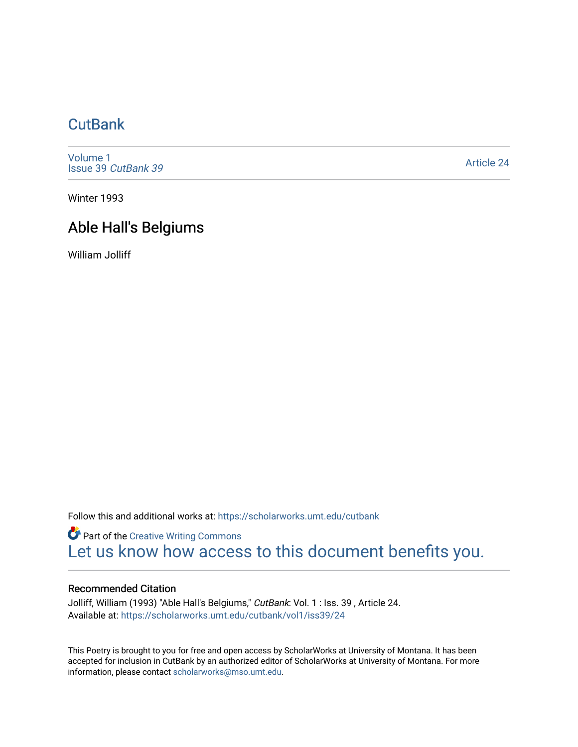## **CutBank**

[Volume 1](https://scholarworks.umt.edu/cutbank/vol1) [Issue 39](https://scholarworks.umt.edu/cutbank/vol1/iss39) CutBank 39

[Article 24](https://scholarworks.umt.edu/cutbank/vol1/iss39/24) 

Winter 1993

## Able Hall's Belgiums

William Jolliff

Follow this and additional works at: [https://scholarworks.umt.edu/cutbank](https://scholarworks.umt.edu/cutbank?utm_source=scholarworks.umt.edu%2Fcutbank%2Fvol1%2Fiss39%2F24&utm_medium=PDF&utm_campaign=PDFCoverPages) 

**Part of the Creative Writing Commons** [Let us know how access to this document benefits you.](https://goo.gl/forms/s2rGfXOLzz71qgsB2) 

## Recommended Citation

Jolliff, William (1993) "Able Hall's Belgiums," CutBank: Vol. 1 : Iss. 39, Article 24. Available at: [https://scholarworks.umt.edu/cutbank/vol1/iss39/24](https://scholarworks.umt.edu/cutbank/vol1/iss39/24?utm_source=scholarworks.umt.edu%2Fcutbank%2Fvol1%2Fiss39%2F24&utm_medium=PDF&utm_campaign=PDFCoverPages)

This Poetry is brought to you for free and open access by ScholarWorks at University of Montana. It has been accepted for inclusion in CutBank by an authorized editor of ScholarWorks at University of Montana. For more information, please contact [scholarworks@mso.umt.edu](mailto:scholarworks@mso.umt.edu).